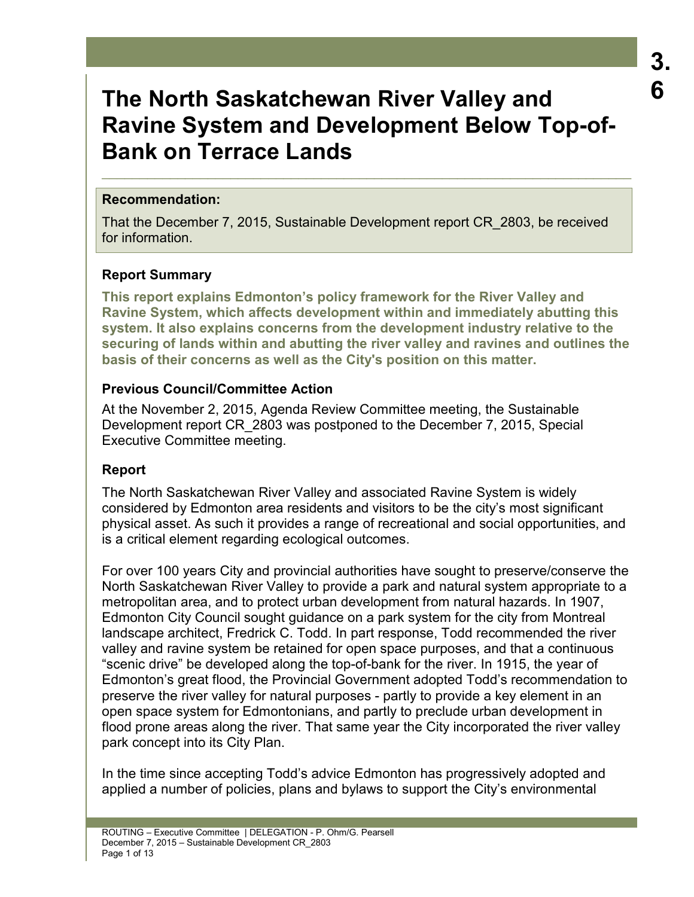# **3. 6**

# **The North Saskatchewan River Valley and Ravine System and Development Below Top-of-Bank on Terrace Lands**

 $\_$  , and the set of the set of the set of the set of the set of the set of the set of the set of the set of the set of the set of the set of the set of the set of the set of the set of the set of the set of the set of th

## **Recommendation:**

That the December 7, 2015, Sustainable Development report CR\_2803, be received for information.

# **Report Summary**

**This report explains Edmonton's policy framework for the River Valley and Ravine System, which affects development within and immediately abutting this system. It also explains concerns from the development industry relative to the securing of lands within and abutting the river valley and ravines and outlines the basis of their concerns as well as the City's position on this matter.** 

# **Previous Council/Committee Action**

At the November 2, 2015, Agenda Review Committee meeting, the Sustainable Development report CR\_2803 was postponed to the December 7, 2015, Special Executive Committee meeting.

# **Report**

The North Saskatchewan River Valley and associated Ravine System is widely considered by Edmonton area residents and visitors to be the city's most significant physical asset. As such it provides a range of recreational and social opportunities, and is a critical element regarding ecological outcomes.

For over 100 years City and provincial authorities have sought to preserve/conserve the North Saskatchewan River Valley to provide a park and natural system appropriate to a metropolitan area, and to protect urban development from natural hazards. In 1907, Edmonton City Council sought guidance on a park system for the city from Montreal landscape architect, Fredrick C. Todd. In part response, Todd recommended the river valley and ravine system be retained for open space purposes, and that a continuous "scenic drive" be developed along the top-of-bank for the river. In 1915, the year of Edmonton's great flood, the Provincial Government adopted Todd's recommendation to preserve the river valley for natural purposes - partly to provide a key element in an open space system for Edmontonians, and partly to preclude urban development in flood prone areas along the river. That same year the City incorporated the river valley park concept into its City Plan.

In the time since accepting Todd's advice Edmonton has progressively adopted and applied a number of policies, plans and bylaws to support the City's environmental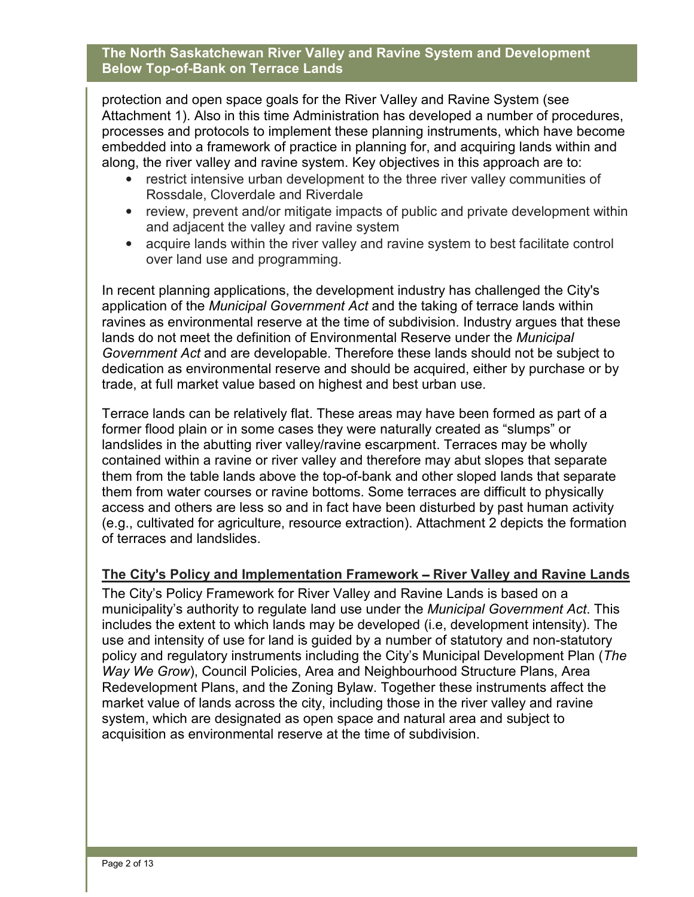protection and open space goals for the River Valley and Ravine System (see Attachment 1). Also in this time Administration has developed a number of procedures, processes and protocols to implement these planning instruments, which have become embedded into a framework of practice in planning for, and acquiring lands within and along, the river valley and ravine system. Key objectives in this approach are to:

- restrict intensive urban development to the three river valley communities of Rossdale, Cloverdale and Riverdale
- review, prevent and/or mitigate impacts of public and private development within and adjacent the valley and ravine system
- acquire lands within the river valley and ravine system to best facilitate control over land use and programming.

In recent planning applications, the development industry has challenged the City's application of the *Municipal Government Act* and the taking of terrace lands within ravines as environmental reserve at the time of subdivision. Industry argues that these lands do not meet the definition of Environmental Reserve under the *Municipal Government Act* and are developable. Therefore these lands should not be subject to dedication as environmental reserve and should be acquired, either by purchase or by trade, at full market value based on highest and best urban use.

Terrace lands can be relatively flat. These areas may have been formed as part of a former flood plain or in some cases they were naturally created as "slumps" or landslides in the abutting river valley/ravine escarpment. Terraces may be wholly contained within a ravine or river valley and therefore may abut slopes that separate them from the table lands above the top-of-bank and other sloped lands that separate them from water courses or ravine bottoms. Some terraces are difficult to physically access and others are less so and in fact have been disturbed by past human activity (e.g., cultivated for agriculture, resource extraction). Attachment 2 depicts the formation of terraces and landslides.

# **The City**'**s Policy and Implementation Framework** – **River Valley and Ravine Lands**

The City's Policy Framework for River Valley and Ravine Lands is based on a municipality's authority to regulate land use under the *Municipal Government Act*. This includes the extent to which lands may be developed (i.e, development intensity). The use and intensity of use for land is guided by a number of statutory and non-statutory policy and regulatory instruments including the City's Municipal Development Plan (*The Way We Grow*), Council Policies, Area and Neighbourhood Structure Plans, Area Redevelopment Plans, and the Zoning Bylaw. Together these instruments affect the market value of lands across the city, including those in the river valley and ravine system, which are designated as open space and natural area and subject to acquisition as environmental reserve at the time of subdivision.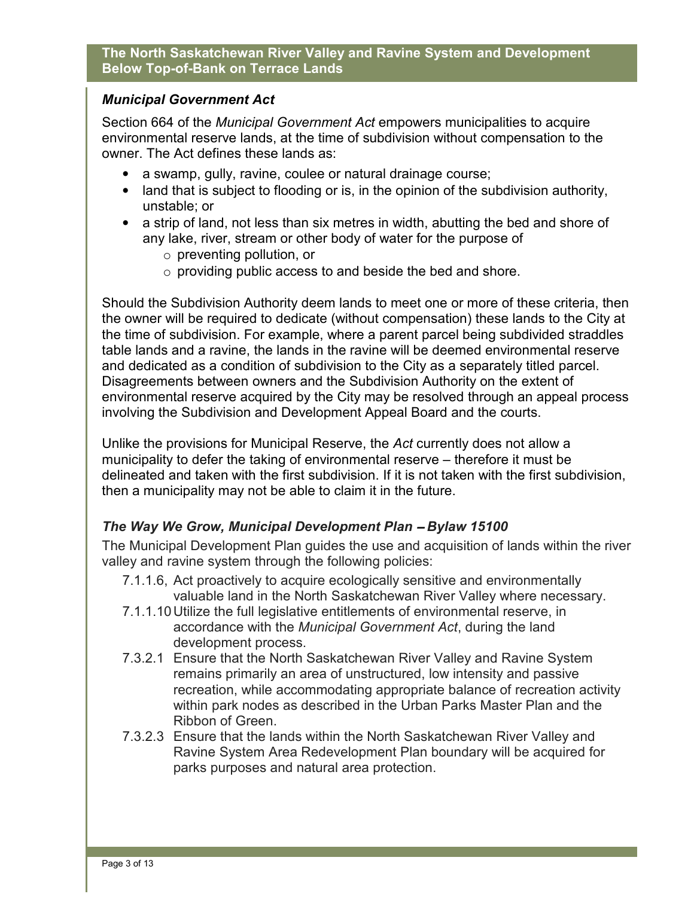# *Municipal Government Act*

Section 664 of the *Municipal Government Act* empowers municipalities to acquire environmental reserve lands, at the time of subdivision without compensation to the owner. The Act defines these lands as:

- a swamp, gully, ravine, coulee or natural drainage course;
- land that is subject to flooding or is, in the opinion of the subdivision authority, unstable; or
- a strip of land, not less than six metres in width, abutting the bed and shore of any lake, river, stream or other body of water for the purpose of
	- o preventing pollution, or
	- o providing public access to and beside the bed and shore.

Should the Subdivision Authority deem lands to meet one or more of these criteria, then the owner will be required to dedicate (without compensation) these lands to the City at the time of subdivision. For example, where a parent parcel being subdivided straddles table lands and a ravine, the lands in the ravine will be deemed environmental reserve and dedicated as a condition of subdivision to the City as a separately titled parcel. Disagreements between owners and the Subdivision Authority on the extent of environmental reserve acquired by the City may be resolved through an appeal process involving the Subdivision and Development Appeal Board and the courts.

Unlike the provisions for Municipal Reserve, the *Act* currently does not allow a municipality to defer the taking of environmental reserve – therefore it must be delineated and taken with the first subdivision. If it is not taken with the first subdivision, then a municipality may not be able to claim it in the future.

# *The Way We Grow, Municipal Development Plan* – *Bylaw 15100*

The Municipal Development Plan guides the use and acquisition of lands within the river valley and ravine system through the following policies:

- 7.1.1.6, Act proactively to acquire ecologically sensitive and environmentally valuable land in the North Saskatchewan River Valley where necessary.
- 7.1.1.10 Utilize the full legislative entitlements of environmental reserve, in accordance with the *Municipal Government Act*, during the land development process.
- 7.3.2.1 Ensure that the North Saskatchewan River Valley and Ravine System remains primarily an area of unstructured, low intensity and passive recreation, while accommodating appropriate balance of recreation activity within park nodes as described in the Urban Parks Master Plan and the Ribbon of Green.
- 7.3.2.3 Ensure that the lands within the North Saskatchewan River Valley and Ravine System Area Redevelopment Plan boundary will be acquired for parks purposes and natural area protection.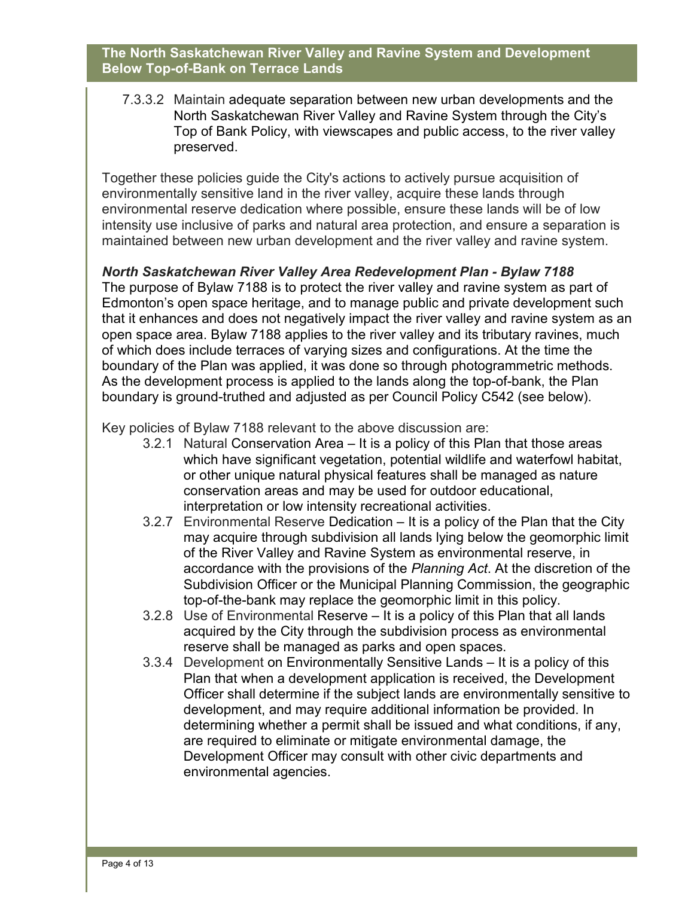7.3.3.2 Maintain adequate separation between new urban developments and the North Saskatchewan River Valley and Ravine System through the City's Top of Bank Policy, with viewscapes and public access, to the river valley preserved.

Together these policies guide the City's actions to actively pursue acquisition of environmentally sensitive land in the river valley, acquire these lands through environmental reserve dedication where possible, ensure these lands will be of low intensity use inclusive of parks and natural area protection, and ensure a separation is maintained between new urban development and the river valley and ravine system.

*North Saskatchewan River Valley Area Redevelopment Plan - Bylaw 7188*

The purpose of Bylaw 7188 is to protect the river valley and ravine system as part of Edmonton's open space heritage, and to manage public and private development such that it enhances and does not negatively impact the river valley and ravine system as an open space area. Bylaw 7188 applies to the river valley and its tributary ravines, much of which does include terraces of varying sizes and configurations. At the time the boundary of the Plan was applied, it was done so through photogrammetric methods. As the development process is applied to the lands along the top-of-bank, the Plan boundary is ground-truthed and adjusted as per Council Policy C542 (see below).

Key policies of Bylaw 7188 relevant to the above discussion are:

- 3.2.1 Natural Conservation Area It is a policy of this Plan that those areas which have significant vegetation, potential wildlife and waterfowl habitat, or other unique natural physical features shall be managed as nature conservation areas and may be used for outdoor educational, interpretation or low intensity recreational activities.
- 3.2.7 Environmental Reserve Dedication It is a policy of the Plan that the City may acquire through subdivision all lands lying below the geomorphic limit of the River Valley and Ravine System as environmental reserve, in accordance with the provisions of the *Planning Act*. At the discretion of the Subdivision Officer or the Municipal Planning Commission, the geographic top-of-the-bank may replace the geomorphic limit in this policy.
- 3.2.8 Use of Environmental Reserve It is a policy of this Plan that all lands acquired by the City through the subdivision process as environmental reserve shall be managed as parks and open spaces.
- 3.3.4 Development on Environmentally Sensitive Lands It is a policy of this Plan that when a development application is received, the Development Officer shall determine if the subject lands are environmentally sensitive to development, and may require additional information be provided. In determining whether a permit shall be issued and what conditions, if any, are required to eliminate or mitigate environmental damage, the Development Officer may consult with other civic departments and environmental agencies.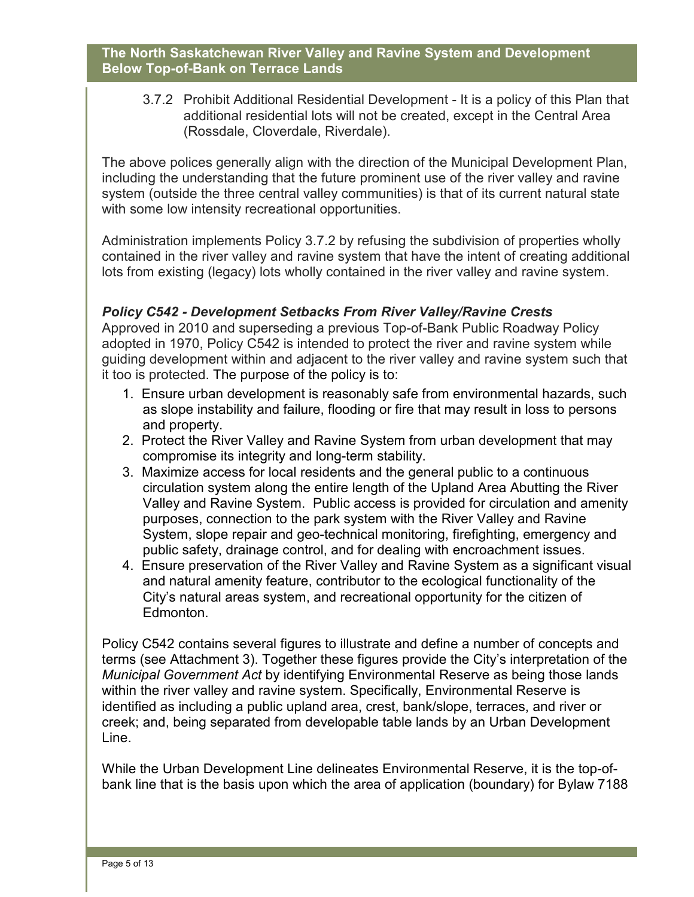3.7.2 Prohibit Additional Residential Development - It is a policy of this Plan that additional residential lots will not be created, except in the Central Area (Rossdale, Cloverdale, Riverdale).

The above polices generally align with the direction of the Municipal Development Plan, including the understanding that the future prominent use of the river valley and ravine system (outside the three central valley communities) is that of its current natural state with some low intensity recreational opportunities.

Administration implements Policy 3.7.2 by refusing the subdivision of properties wholly contained in the river valley and ravine system that have the intent of creating additional lots from existing (legacy) lots wholly contained in the river valley and ravine system.

# *Policy C542 - Development Setbacks From River Valley/Ravine Crests*

Approved in 2010 and superseding a previous Top-of-Bank Public Roadway Policy adopted in 1970, Policy C542 is intended to protect the river and ravine system while guiding development within and adjacent to the river valley and ravine system such that it too is protected. The purpose of the policy is to:

- 1. Ensure urban development is reasonably safe from environmental hazards, such as slope instability and failure, flooding or fire that may result in loss to persons and property.
- 2. Protect the River Valley and Ravine System from urban development that may compromise its integrity and long-term stability.
- 3. Maximize access for local residents and the general public to a continuous circulation system along the entire length of the Upland Area Abutting the River Valley and Ravine System. Public access is provided for circulation and amenity purposes, connection to the park system with the River Valley and Ravine System, slope repair and geo-technical monitoring, firefighting, emergency and public safety, drainage control, and for dealing with encroachment issues.
- 4. Ensure preservation of the River Valley and Ravine System as a significant visual and natural amenity feature, contributor to the ecological functionality of the City's natural areas system, and recreational opportunity for the citizen of Edmonton.

Policy C542 contains several figures to illustrate and define a number of concepts and terms (see Attachment 3). Together these figures provide the City's interpretation of the *Municipal Government Act* by identifying Environmental Reserve as being those lands within the river valley and ravine system. Specifically, Environmental Reserve is identified as including a public upland area, crest, bank/slope, terraces, and river or creek; and, being separated from developable table lands by an Urban Development Line.

While the Urban Development Line delineates Environmental Reserve, it is the top-ofbank line that is the basis upon which the area of application (boundary) for Bylaw 7188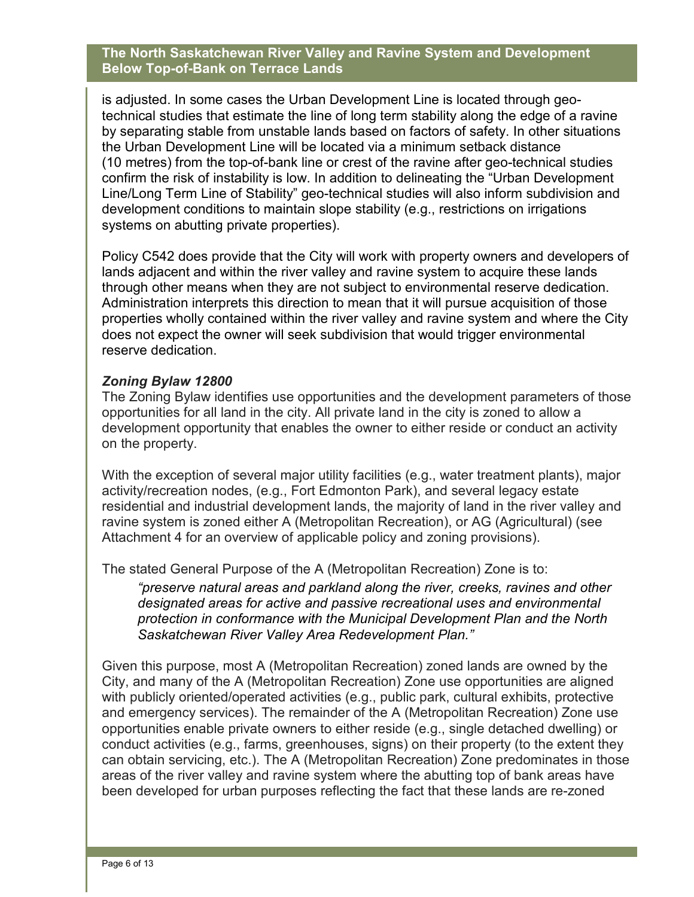is adjusted. In some cases the Urban Development Line is located through geotechnical studies that estimate the line of long term stability along the edge of a ravine by separating stable from unstable lands based on factors of safety. In other situations the Urban Development Line will be located via a minimum setback distance (10 metres) from the top-of-bank line or crest of the ravine after geo-technical studies confirm the risk of instability is low. In addition to delineating the "Urban Development Line/Long Term Line of Stability" geo-technical studies will also inform subdivision and development conditions to maintain slope stability (e.g., restrictions on irrigations systems on abutting private properties).

Policy C542 does provide that the City will work with property owners and developers of lands adjacent and within the river valley and ravine system to acquire these lands through other means when they are not subject to environmental reserve dedication. Administration interprets this direction to mean that it will pursue acquisition of those properties wholly contained within the river valley and ravine system and where the City does not expect the owner will seek subdivision that would trigger environmental reserve dedication.

## *Zoning Bylaw 12800*

The Zoning Bylaw identifies use opportunities and the development parameters of those opportunities for all land in the city. All private land in the city is zoned to allow a development opportunity that enables the owner to either reside or conduct an activity on the property.

With the exception of several major utility facilities (e.g., water treatment plants), major activity/recreation nodes, (e.g., Fort Edmonton Park), and several legacy estate residential and industrial development lands, the majority of land in the river valley and ravine system is zoned either A (Metropolitan Recreation), or AG (Agricultural) (see Attachment 4 for an overview of applicable policy and zoning provisions).

The stated General Purpose of the A (Metropolitan Recreation) Zone is to:

*"preserve natural areas and parkland along the river, creeks, ravines and other designated areas for active and passive recreational uses and environmental protection in conformance with the Municipal Development Plan and the North Saskatchewan River Valley Area Redevelopment Plan."* 

Given this purpose, most A (Metropolitan Recreation) zoned lands are owned by the City, and many of the A (Metropolitan Recreation) Zone use opportunities are aligned with publicly oriented/operated activities (e.g., public park, cultural exhibits, protective and emergency services). The remainder of the A (Metropolitan Recreation) Zone use opportunities enable private owners to either reside (e.g., single detached dwelling) or conduct activities (e.g., farms, greenhouses, signs) on their property (to the extent they can obtain servicing, etc.). The A (Metropolitan Recreation) Zone predominates in those areas of the river valley and ravine system where the abutting top of bank areas have been developed for urban purposes reflecting the fact that these lands are re-zoned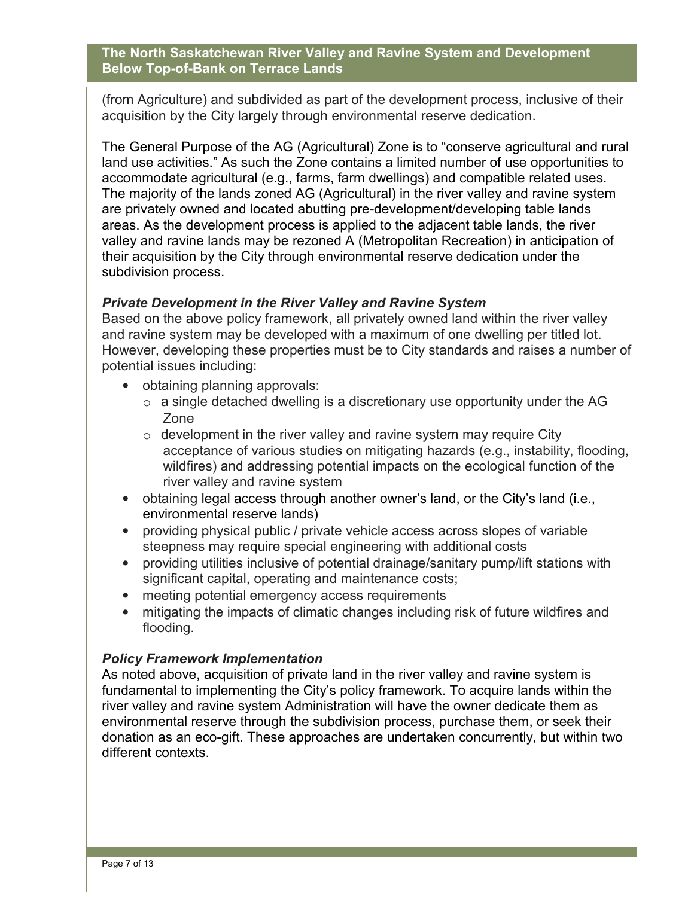(from Agriculture) and subdivided as part of the development process, inclusive of their acquisition by the City largely through environmental reserve dedication.

The General Purpose of the AG (Agricultural) Zone is to "conserve agricultural and rural land use activities." As such the Zone contains a limited number of use opportunities to accommodate agricultural (e.g., farms, farm dwellings) and compatible related uses. The majority of the lands zoned AG (Agricultural) in the river valley and ravine system are privately owned and located abutting pre-development/developing table lands areas. As the development process is applied to the adjacent table lands, the river valley and ravine lands may be rezoned A (Metropolitan Recreation) in anticipation of their acquisition by the City through environmental reserve dedication under the subdivision process.

# *Private Development in the River Valley and Ravine System*

Based on the above policy framework, all privately owned land within the river valley and ravine system may be developed with a maximum of one dwelling per titled lot. However, developing these properties must be to City standards and raises a number of potential issues including:

- obtaining planning approvals:
	- $\circ$  a single detached dwelling is a discretionary use opportunity under the AG Zone
	- $\circ$  development in the river valley and ravine system may require City acceptance of various studies on mitigating hazards (e.g., instability, flooding, wildfires) and addressing potential impacts on the ecological function of the river valley and ravine system
- obtaining legal access through another owner's land, or the City's land (i.e., environmental reserve lands)
- providing physical public / private vehicle access across slopes of variable steepness may require special engineering with additional costs
- providing utilities inclusive of potential drainage/sanitary pump/lift stations with significant capital, operating and maintenance costs;
- meeting potential emergency access requirements
- mitigating the impacts of climatic changes including risk of future wildfires and flooding.

#### *Policy Framework Implementation*

As noted above, acquisition of private land in the river valley and ravine system is fundamental to implementing the City's policy framework. To acquire lands within the river valley and ravine system Administration will have the owner dedicate them as environmental reserve through the subdivision process, purchase them, or seek their donation as an eco-gift. These approaches are undertaken concurrently, but within two different contexts.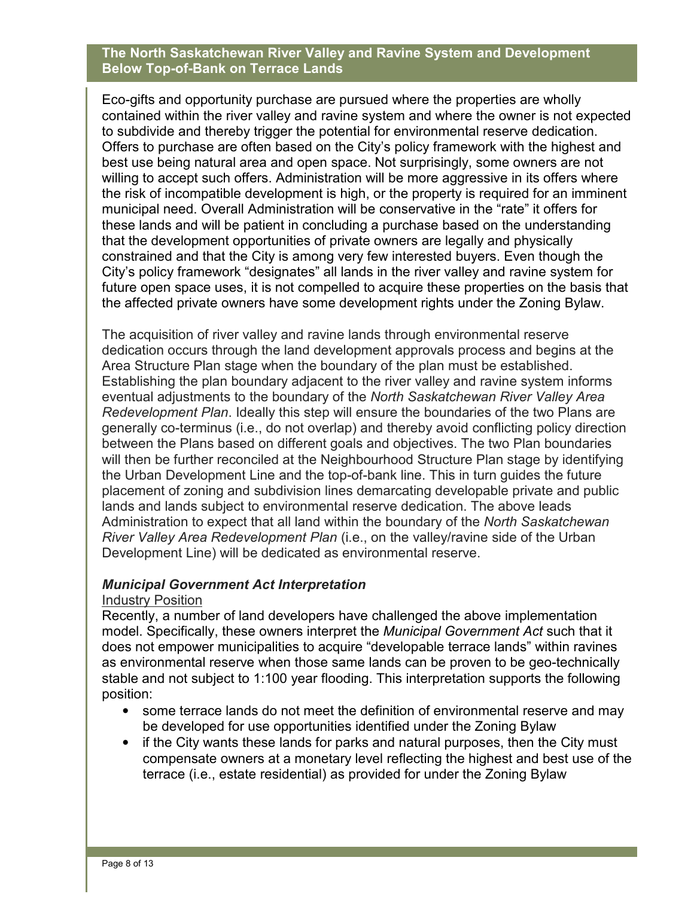Eco-gifts and opportunity purchase are pursued where the properties are wholly contained within the river valley and ravine system and where the owner is not expected to subdivide and thereby trigger the potential for environmental reserve dedication. Offers to purchase are often based on the City's policy framework with the highest and best use being natural area and open space. Not surprisingly, some owners are not willing to accept such offers. Administration will be more aggressive in its offers where the risk of incompatible development is high, or the property is required for an imminent municipal need. Overall Administration will be conservative in the "rate" it offers for these lands and will be patient in concluding a purchase based on the understanding that the development opportunities of private owners are legally and physically constrained and that the City is among very few interested buyers. Even though the City's policy framework "designates" all lands in the river valley and ravine system for future open space uses, it is not compelled to acquire these properties on the basis that the affected private owners have some development rights under the Zoning Bylaw.

The acquisition of river valley and ravine lands through environmental reserve dedication occurs through the land development approvals process and begins at the Area Structure Plan stage when the boundary of the plan must be established. Establishing the plan boundary adjacent to the river valley and ravine system informs eventual adjustments to the boundary of the *North Saskatchewan River Valley Area Redevelopment Plan*. Ideally this step will ensure the boundaries of the two Plans are generally co-terminus (i.e., do not overlap) and thereby avoid conflicting policy direction between the Plans based on different goals and objectives. The two Plan boundaries will then be further reconciled at the Neighbourhood Structure Plan stage by identifying the Urban Development Line and the top-of-bank line. This in turn guides the future placement of zoning and subdivision lines demarcating developable private and public lands and lands subject to environmental reserve dedication. The above leads Administration to expect that all land within the boundary of the *North Saskatchewan River Valley Area Redevelopment Plan* (i.e., on the valley/ravine side of the Urban Development Line) will be dedicated as environmental reserve.

#### *Municipal Government Act Interpretation*

#### Industry Position

Recently, a number of land developers have challenged the above implementation model. Specifically, these owners interpret the *Municipal Government Act* such that it does not empower municipalities to acquire "developable terrace lands" within ravines as environmental reserve when those same lands can be proven to be geo-technically stable and not subject to 1:100 year flooding. This interpretation supports the following position:

- some terrace lands do not meet the definition of environmental reserve and may be developed for use opportunities identified under the Zoning Bylaw
- if the City wants these lands for parks and natural purposes, then the City must compensate owners at a monetary level reflecting the highest and best use of the terrace (i.e., estate residential) as provided for under the Zoning Bylaw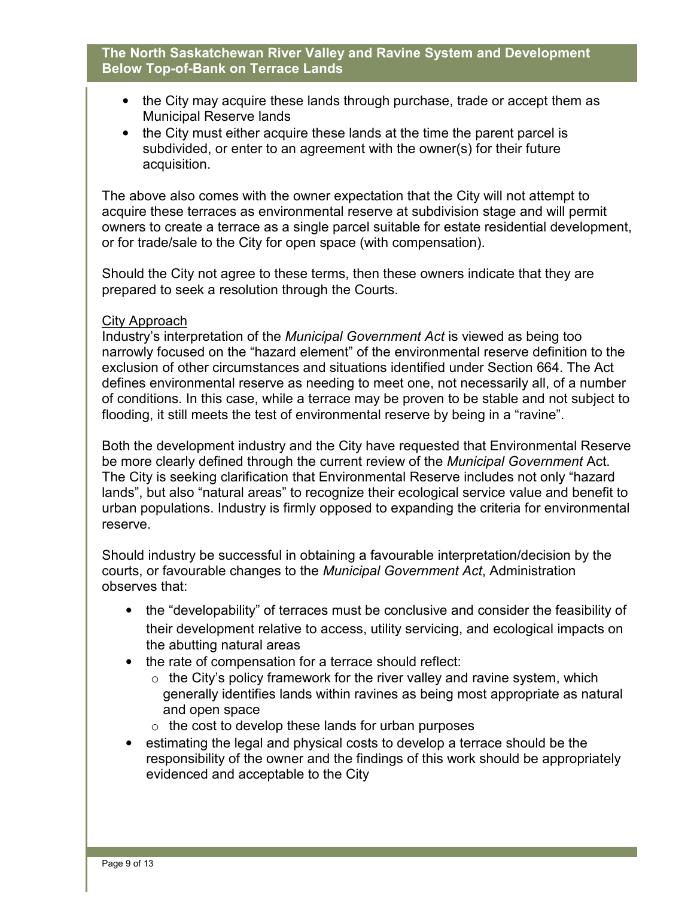- the City may acquire these lands through purchase, trade or accept them as Municipal Reserve lands
- the City must either acquire these lands at the time the parent parcel is subdivided, or enter to an agreement with the owner(s) for their future acquisition.

The above also comes with the owner expectation that the City will not attempt to acquire these terraces as environmental reserve at subdivision stage and will permit owners to create a terrace as a single parcel suitable for estate residential development, or for trade/sale to the City for open space (with compensation).

Should the City not agree to these terms, then these owners indicate that they are prepared to seek a resolution through the Courts.

#### City Approach

Industry's interpretation of the *Municipal Government Act* is viewed as being too narrowly focused on the "hazard element" of the environmental reserve definition to the exclusion of other circumstances and situations identified under Section 664. The Act defines environmental reserve as needing to meet one, not necessarily all, of a number of conditions. In this case, while a terrace may be proven to be stable and not subject to flooding, it still meets the test of environmental reserve by being in a "ravine".

Both the development industry and the City have requested that Environmental Reserve be more clearly defined through the current review of the *Municipal Government* Act. The City is seeking clarification that Environmental Reserve includes not only "hazard lands", but also "natural areas" to recognize their ecological service value and benefit to urban populations. Industry is firmly opposed to expanding the criteria for environmental reserve.

Should industry be successful in obtaining a favourable interpretation/decision by the courts, or favourable changes to the *Municipal Government Act*, Administration observes that:

- the "developability" of terraces must be conclusive and consider the feasibility of their development relative to access, utility servicing, and ecological impacts on the abutting natural areas
- the rate of compensation for a terrace should reflect:
	- $\circ$  the City's policy framework for the river valley and ravine system, which generally identifies lands within ravines as being most appropriate as natural and open space
	- $\circ$  the cost to develop these lands for urban purposes
- estimating the legal and physical costs to develop a terrace should be the responsibility of the owner and the findings of this work should be appropriately evidenced and acceptable to the City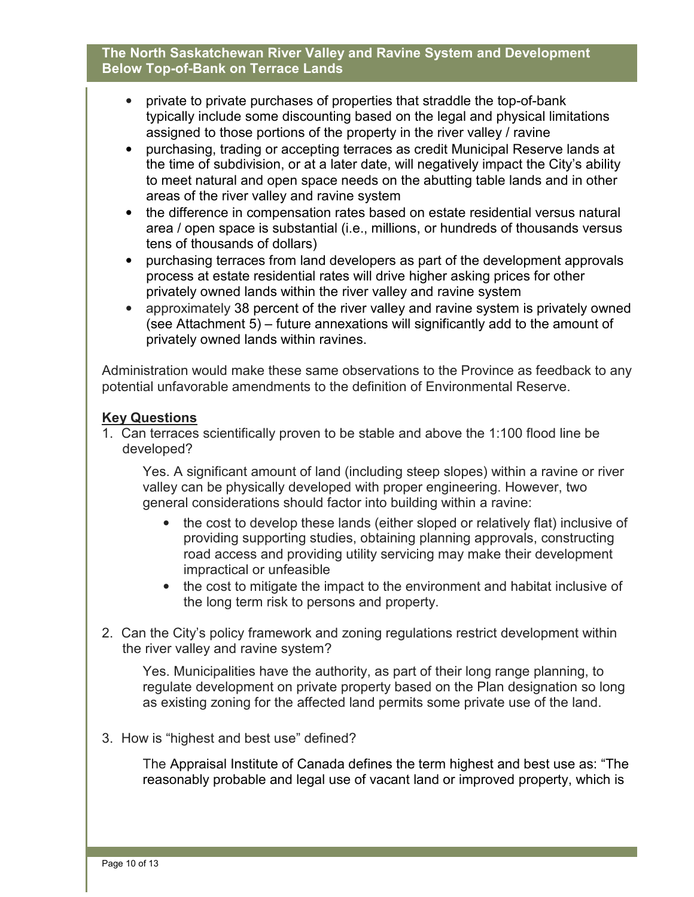- private to private purchases of properties that straddle the top-of-bank typically include some discounting based on the legal and physical limitations assigned to those portions of the property in the river valley / ravine
- purchasing, trading or accepting terraces as credit Municipal Reserve lands at the time of subdivision, or at a later date, will negatively impact the City's ability to meet natural and open space needs on the abutting table lands and in other areas of the river valley and ravine system
- the difference in compensation rates based on estate residential versus natural area / open space is substantial (i.e., millions, or hundreds of thousands versus tens of thousands of dollars)
- purchasing terraces from land developers as part of the development approvals process at estate residential rates will drive higher asking prices for other privately owned lands within the river valley and ravine system
- approximately 38 percent of the river valley and ravine system is privately owned (see Attachment 5) – future annexations will significantly add to the amount of privately owned lands within ravines.

Administration would make these same observations to the Province as feedback to any potential unfavorable amendments to the definition of Environmental Reserve.

# **Key Questions**

1. Can terraces scientifically proven to be stable and above the 1:100 flood line be developed?

Yes. A significant amount of land (including steep slopes) within a ravine or river valley can be physically developed with proper engineering. However, two general considerations should factor into building within a ravine:

- the cost to develop these lands (either sloped or relatively flat) inclusive of providing supporting studies, obtaining planning approvals, constructing road access and providing utility servicing may make their development impractical or unfeasible
- the cost to mitigate the impact to the environment and habitat inclusive of the long term risk to persons and property.
- 2. Can the City's policy framework and zoning regulations restrict development within the river valley and ravine system?

Yes. Municipalities have the authority, as part of their long range planning, to regulate development on private property based on the Plan designation so long as existing zoning for the affected land permits some private use of the land.

3. How is "highest and best use" defined?

The Appraisal Institute of Canada defines the term highest and best use as: "The reasonably probable and legal use of vacant land or improved property, which is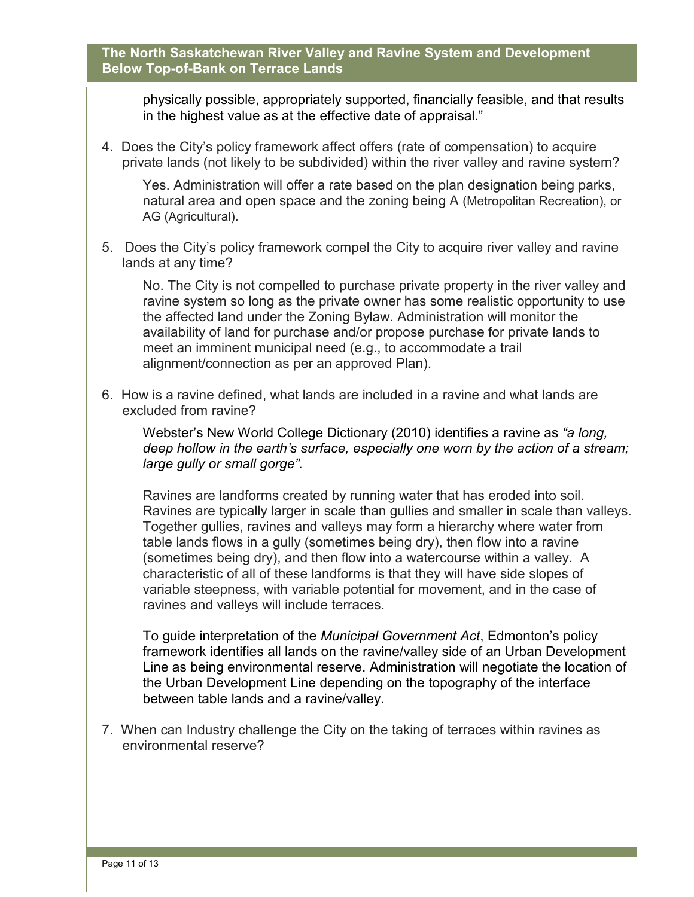physically possible, appropriately supported, financially feasible, and that results in the highest value as at the effective date of appraisal."

4. Does the City's policy framework affect offers (rate of compensation) to acquire private lands (not likely to be subdivided) within the river valley and ravine system?

Yes. Administration will offer a rate based on the plan designation being parks, natural area and open space and the zoning being A (Metropolitan Recreation), or AG (Agricultural).

5. Does the City's policy framework compel the City to acquire river valley and ravine lands at any time?

No. The City is not compelled to purchase private property in the river valley and ravine system so long as the private owner has some realistic opportunity to use the affected land under the Zoning Bylaw. Administration will monitor the availability of land for purchase and/or propose purchase for private lands to meet an imminent municipal need (e.g., to accommodate a trail alignment/connection as per an approved Plan).

6. How is a ravine defined, what lands are included in a ravine and what lands are excluded from ravine?

Webster's New World College Dictionary (2010) identifies a ravine as *"a long, deep hollow in the earth's surface, especially one worn by the action of a stream; large gully or small gorge".*

Ravines are landforms created by running water that has eroded into soil. Ravines are typically larger in scale than gullies and smaller in scale than valleys. Together gullies, ravines and valleys may form a hierarchy where water from table lands flows in a gully (sometimes being dry), then flow into a ravine (sometimes being dry), and then flow into a watercourse within a valley. A characteristic of all of these landforms is that they will have side slopes of variable steepness, with variable potential for movement, and in the case of ravines and valleys will include terraces.

To guide interpretation of the *Municipal Government Act*, Edmonton's policy framework identifies all lands on the ravine/valley side of an Urban Development Line as being environmental reserve. Administration will negotiate the location of the Urban Development Line depending on the topography of the interface between table lands and a ravine/valley.

7. When can Industry challenge the City on the taking of terraces within ravines as environmental reserve?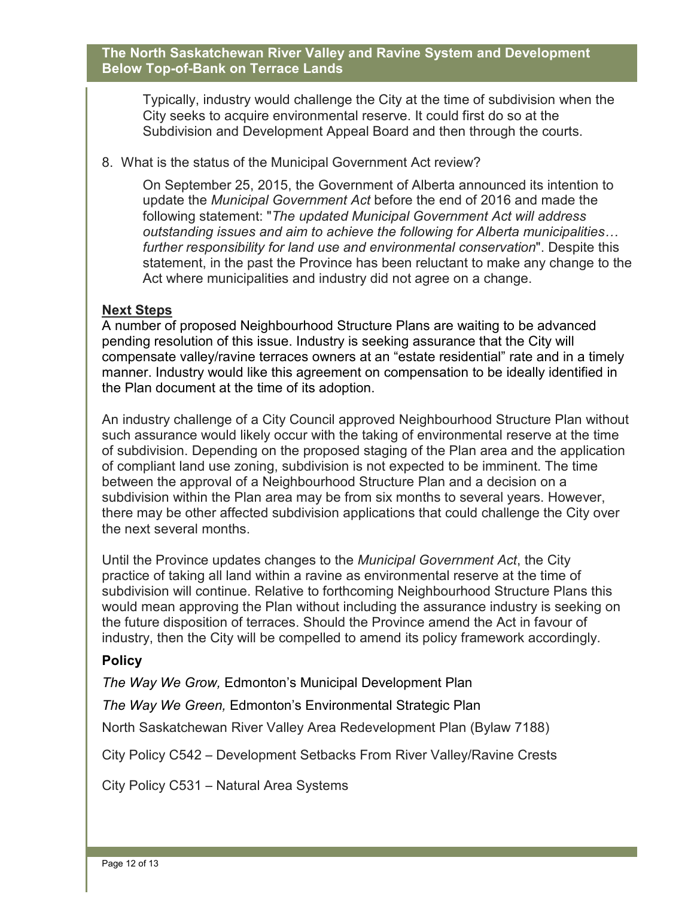Typically, industry would challenge the City at the time of subdivision when the City seeks to acquire environmental reserve. It could first do so at the Subdivision and Development Appeal Board and then through the courts.

8. What is the status of the Municipal Government Act review?

On September 25, 2015, the Government of Alberta announced its intention to update the *Municipal Government Act* before the end of 2016 and made the following statement: "*The updated Municipal Government Act will address outstanding issues and aim to achieve the following for Alberta municipalities) further responsibility for land use and environmental conservation*". Despite this statement, in the past the Province has been reluctant to make any change to the Act where municipalities and industry did not agree on a change.

# **Next Steps**

A number of proposed Neighbourhood Structure Plans are waiting to be advanced pending resolution of this issue. Industry is seeking assurance that the City will compensate valley/ravine terraces owners at an "estate residential" rate and in a timely manner. Industry would like this agreement on compensation to be ideally identified in the Plan document at the time of its adoption.

An industry challenge of a City Council approved Neighbourhood Structure Plan without such assurance would likely occur with the taking of environmental reserve at the time of subdivision. Depending on the proposed staging of the Plan area and the application of compliant land use zoning, subdivision is not expected to be imminent. The time between the approval of a Neighbourhood Structure Plan and a decision on a subdivision within the Plan area may be from six months to several years. However, there may be other affected subdivision applications that could challenge the City over the next several months.

Until the Province updates changes to the *Municipal Government Act*, the City practice of taking all land within a ravine as environmental reserve at the time of subdivision will continue. Relative to forthcoming Neighbourhood Structure Plans this would mean approving the Plan without including the assurance industry is seeking on the future disposition of terraces. Should the Province amend the Act in favour of industry, then the City will be compelled to amend its policy framework accordingly.

# **Policy**

*The Way We Grow,* Edmonton's Municipal Development Plan

*The Way We Green,* Edmonton's Environmental Strategic Plan

North Saskatchewan River Valley Area Redevelopment Plan (Bylaw 7188)

City Policy C542 – Development Setbacks From River Valley/Ravine Crests

City Policy C531 – Natural Area Systems